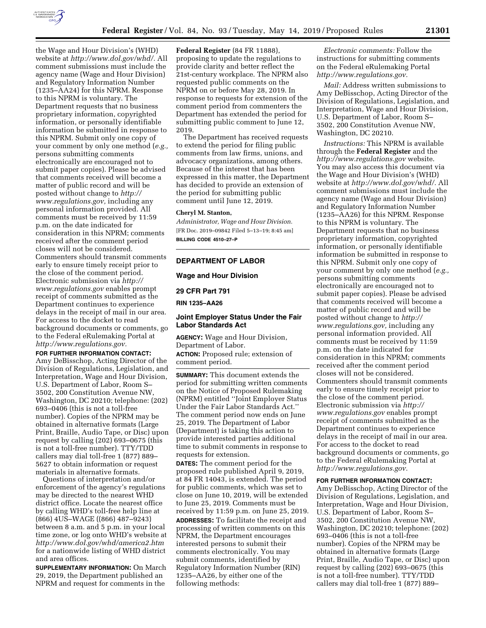

the Wage and Hour Division's (WHD) website at *[http://www.dol.gov/whd/.](http://www.dol.gov/whd/)* All comment submissions must include the agency name (Wage and Hour Division) and Regulatory Information Number (1235–AA24) for this NPRM. Response to this NPRM is voluntary. The Department requests that no business proprietary information, copyrighted information, or personally identifiable information be submitted in response to this NPRM. Submit only one copy of your comment by only one method (*e.g.,*  persons submitting comments electronically are encouraged not to submit paper copies). Please be advised that comments received will become a matter of public record and will be posted without change to *[http://](http://www.regulations.gov) [www.regulations.gov,](http://www.regulations.gov)* including any personal information provided. All comments must be received by 11:59 p.m. on the date indicated for consideration in this NPRM; comments received after the comment period closes will not be considered. Commenters should transmit comments early to ensure timely receipt prior to the close of the comment period. Electronic submission via *[http://](http://www.regulations.gov) [www.regulations.gov](http://www.regulations.gov)* enables prompt receipt of comments submitted as the Department continues to experience delays in the receipt of mail in our area. For access to the docket to read background documents or comments, go to the Federal eRulemaking Portal at *[http://www.regulations.gov.](http://www.regulations.gov)* 

**FOR FURTHER INFORMATION CONTACT:**  Amy DeBisschop, Acting Director of the Division of Regulations, Legislation, and Interpretation, Wage and Hour Division, U.S. Department of Labor, Room S– 3502, 200 Constitution Avenue NW, Washington, DC 20210; telephone: (202) 693–0406 (this is not a toll-free number). Copies of the NPRM may be obtained in alternative formats (Large Print, Braille, Audio Tape, or Disc) upon request by calling (202) 693–0675 (this is not a toll-free number). TTY/TDD callers may dial toll-free 1 (877) 889– 5627 to obtain information or request materials in alternative formats.

Questions of interpretation and/or enforcement of the agency's regulations may be directed to the nearest WHD district office. Locate the nearest office by calling WHD's toll-free help line at (866) 4US–WAGE ((866) 487–9243) between 8 a.m. and 5 p.m. in your local time zone, or log onto WHD's website at *<http://www.dol.gov/whd/america2.htm>* for a nationwide listing of WHD district and area offices.

**SUPPLEMENTARY INFORMATION:** On March 29, 2019, the Department published an NPRM and request for comments in the

**Federal Register** (84 FR 11888), proposing to update the regulations to provide clarity and better reflect the 21st-century workplace. The NPRM also requested public comments on the NPRM on or before May 28, 2019. In response to requests for extension of the comment period from commenters the Department has extended the period for submitting public comment to June 12, 2019.

The Department has received requests to extend the period for filing public comments from law firms, unions, and advocacy organizations, among others. Because of the interest that has been expressed in this matter, the Department has decided to provide an extension of the period for submitting public comment until June 12, 2019.

## **Cheryl M. Stanton,**

*Administrator, Wage and Hour Division.*  [FR Doc. 2019–09842 Filed 5–13–19; 8:45 am] **BILLING CODE 4510–27–P** 

#### **DEPARTMENT OF LABOR**

**Wage and Hour Division** 

**29 CFR Part 791** 

**RIN 1235–AA26** 

# **Joint Employer Status Under the Fair Labor Standards Act**

**AGENCY:** Wage and Hour Division, Department of Labor. **ACTION:** Proposed rule; extension of comment period.

**SUMMARY:** This document extends the period for submitting written comments on the Notice of Proposed Rulemaking (NPRM) entitled ''Joint Employer Status Under the Fair Labor Standards Act.'' The comment period now ends on June 25, 2019. The Department of Labor (Department) is taking this action to provide interested parties additional time to submit comments in response to requests for extension.

**DATES:** The comment period for the proposed rule published April 9, 2019, at 84 FR 14043, is extended. The period for public comments, which was set to close on June 10, 2019, will be extended to June 25, 2019. Comments must be received by 11:59 p.m. on June 25, 2019.

**ADDRESSES:** To facilitate the receipt and processing of written comments on this NPRM, the Department encourages interested persons to submit their comments electronically. You may submit comments, identified by Regulatory Information Number (RIN) 1235–AA26, by either one of the following methods:

*Electronic comments:* Follow the instructions for submitting comments on the Federal eRulemaking Portal *[http://www.regulations.gov.](http://www.regulations.gov)* 

*Mail:* Address written submissions to Amy DeBisschop, Acting Director of the Division of Regulations, Legislation, and Interpretation, Wage and Hour Division, U.S. Department of Labor, Room S– 3502, 200 Constitution Avenue NW, Washington, DC 20210.

*Instructions:* This NPRM is available through the **Federal Register** and the *<http://www.regulations.gov>* website. You may also access this document via the Wage and Hour Division's (WHD) website at *[http://www.dol.gov/whd/.](http://www.dol.gov/whd/)* All comment submissions must include the agency name (Wage and Hour Division) and Regulatory Information Number (1235–AA26) for this NPRM. Response to this NPRM is voluntary. The Department requests that no business proprietary information, copyrighted information, or personally identifiable information be submitted in response to this NPRM. Submit only one copy of your comment by only one method (*e.g.,*  persons submitting comments electronically are encouraged not to submit paper copies). Please be advised that comments received will become a matter of public record and will be posted without change to *[http://](http://www.regulations.gov) [www.regulations.gov,](http://www.regulations.gov)* including any personal information provided. All comments must be received by 11:59 p.m. on the date indicated for consideration in this NPRM; comments received after the comment period closes will not be considered. Commenters should transmit comments early to ensure timely receipt prior to the close of the comment period. Electronic submission via *[http://](http://www.regulations.gov) [www.regulations.gov](http://www.regulations.gov)* enables prompt receipt of comments submitted as the Department continues to experience delays in the receipt of mail in our area. For access to the docket to read background documents or comments, go to the Federal eRulemaking Portal at *[http://www.regulations.gov.](http://www.regulations.gov)* 

#### **FOR FURTHER INFORMATION CONTACT:**

Amy DeBisschop, Acting Director of the Division of Regulations, Legislation, and Interpretation, Wage and Hour Division, U.S. Department of Labor, Room S– 3502, 200 Constitution Avenue NW, Washington, DC 20210; telephone: (202) 693–0406 (this is not a toll-free number). Copies of the NPRM may be obtained in alternative formats (Large Print, Braille, Audio Tape, or Disc) upon request by calling (202) 693–0675 (this is not a toll-free number). TTY/TDD callers may dial toll-free 1 (877) 889–